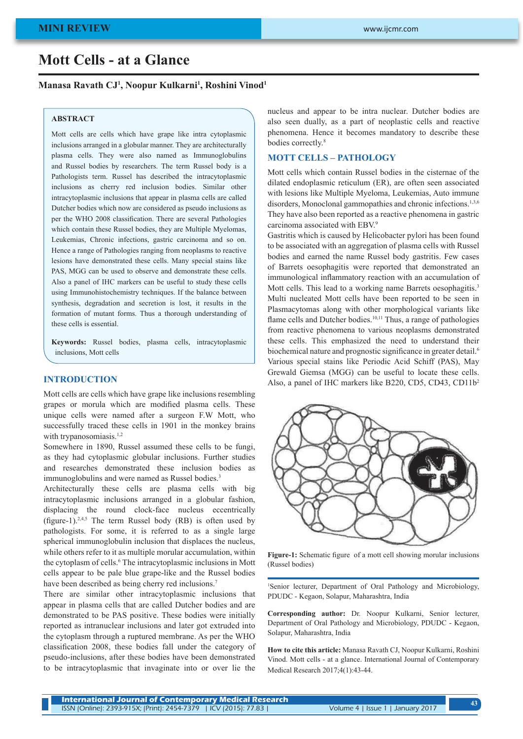# **Mott Cells - at a Glance**

## **Manasa Ravath CJ1 , Noopur Kulkarni1 , Roshini Vinod1**

#### **ABSTRACT**

Mott cells are cells which have grape like intra cytoplasmic inclusions arranged in a globular manner. They are architecturally plasma cells. They were also named as Immunoglobulins and Russel bodies by researchers. The term Russel body is a Pathologists term. Russel has described the intracytoplasmic inclusions as cherry red inclusion bodies. Similar other intracytoplasmic inclusions that appear in plasma cells are called Dutcher bodies which now are considered as pseudo inclusions as per the WHO 2008 classification. There are several Pathologies which contain these Russel bodies, they are Multiple Myelomas, Leukemias, Chronic infections, gastric carcinoma and so on. Hence a range of Pathologies ranging from neoplasms to reactive lesions have demonstrated these cells. Many special stains like PAS, MGG can be used to observe and demonstrate these cells. Also a panel of IHC markers can be useful to study these cells using Immunohistochemistry techniques. If the balance between synthesis, degradation and secretion is lost, it results in the formation of mutant forms. Thus a thorough understanding of these cells is essential.

**Keywords:** Russel bodies, plasma cells, intracytoplasmic inclusions, Mott cells

## **INTRODUCTION**

Mott cells are cells which have grape like inclusions resembling grapes or morula which are modified plasma cells. These unique cells were named after a surgeon F.W Mott, who successfully traced these cells in 1901 in the monkey brains with trypanosomiasis.<sup>1,2</sup>

Somewhere in 1890, Russel assumed these cells to be fungi, as they had cytoplasmic globular inclusions. Further studies and researches demonstrated these inclusion bodies as immunoglobulins and were named as Russel bodies.<sup>3</sup>

Architecturally these cells are plasma cells with big intracytoplasmic inclusions arranged in a globular fashion, displacing the round clock-face nucleus eccentrically (figure-1).<sup>2,4,5</sup> The term Russel body (RB) is often used by pathologists. For some, it is referred to as a single large spherical immunoglobulin inclusion that displaces the nucleus, while others refer to it as multiple morular accumulation, within the cytoplasm of cells.<sup>6</sup> The intracytoplasmic inclusions in Mott cells appear to be pale blue grape-like and the Russel bodies have been described as being cherry red inclusions.<sup>7</sup>

There are similar other intracytoplasmic inclusions that appear in plasma cells that are called Dutcher bodies and are demonstrated to be PAS positive. These bodies were initially reported as intranuclear inclusions and later got extruded into the cytoplasm through a ruptured membrane. As per the WHO classification 2008, these bodies fall under the category of pseudo-inclusions, after these bodies have been demonstrated to be intracytoplasmic that invaginate into or over lie the

nucleus and appear to be intra nuclear. Dutcher bodies are also seen dually, as a part of neoplastic cells and reactive phenomena. Hence it becomes mandatory to describe these bodies correctly.<sup>8</sup>

# **MOTT CELLS – PATHOLOGY**

Mott cells which contain Russel bodies in the cisternae of the dilated endoplasmic reticulum (ER), are often seen associated with lesions like Multiple Myeloma, Leukemias, Auto immune disorders, Monoclonal gammopathies and chronic infections.<sup>1,3,6</sup> They have also been reported as a reactive phenomena in gastric carcinoma associated with EBV.9

Gastritis which is caused by Helicobacter pylori has been found to be associated with an aggregation of plasma cells with Russel bodies and earned the name Russel body gastritis. Few cases of Barrets oesophagitis were reported that demonstrated an immunological inflammatory reaction with an accumulation of Mott cells. This lead to a working name Barrets oesophagitis.<sup>3</sup> Multi nucleated Mott cells have been reported to be seen in Plasmacytomas along with other morphological variants like flame cells and Dutcher bodies.<sup>10,11</sup> Thus, a range of pathologies from reactive phenomena to various neoplasms demonstrated these cells. This emphasized the need to understand their biochemical nature and prognostic significance in greater detail.<sup>6</sup> Various special stains like Periodic Acid Schiff (PAS), May Grewald Giemsa (MGG) can be useful to locate these cells. Also, a panel of IHC markers like B220, CD5, CD43, CD11b2



**Figure-1:** Schematic figure of a mott cell showing morular inclusions (Russel bodies)

1 Senior lecturer, Department of Oral Pathology and Microbiology, PDUDC - Kegaon, Solapur, Maharashtra, India

**Corresponding author:** Dr. Noopur Kulkarni, Senior lecturer, Department of Oral Pathology and Microbiology, PDUDC - Kegaon, Solapur, Maharashtra, India

**How to cite this article:** Manasa Ravath CJ, Noopur Kulkarni, Roshini Vinod. Mott cells - at a glance. International Journal of Contemporary Medical Research 2017;4(1):43-44.